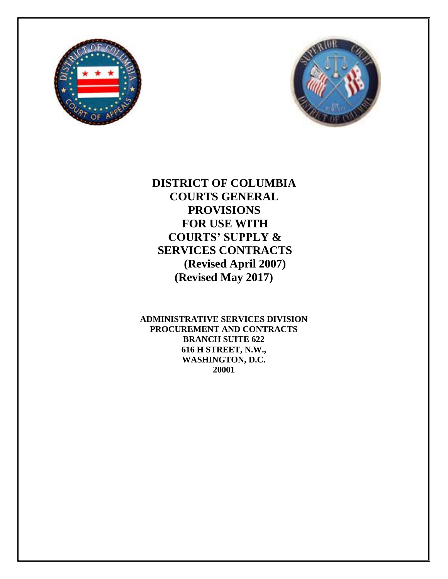



# **DISTRICT OF COLUMBIA COURTS GENERAL PROVISIONS FOR USE WITH COURTS' SUPPLY & SERVICES CONTRACTS (Revised April 2007) (Revised May 2017)**

**ADMINISTRATIVE SERVICES DIVISION PROCUREMENT AND CONTRACTS BRANCH SUITE 622 616 H STREET, N.W., WASHINGTON, D.C. 20001**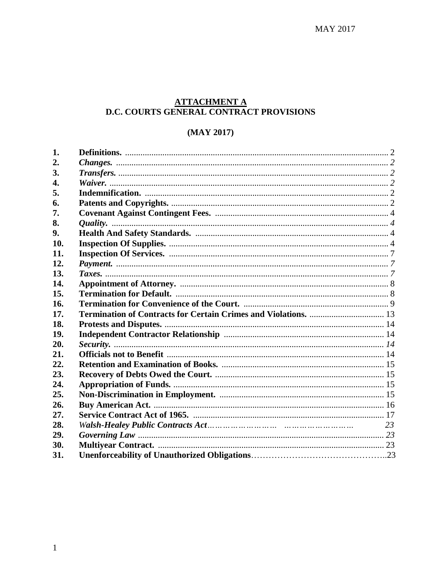# **ATTACHMENT A<br>D.C. COURTS GENERAL CONTRACT PROVISIONS**

# (MAY 2017)

| 1.  |                                                                                         |  |
|-----|-----------------------------------------------------------------------------------------|--|
| 2.  |                                                                                         |  |
| 3.  |                                                                                         |  |
| 4.  |                                                                                         |  |
| 5.  |                                                                                         |  |
| 6.  |                                                                                         |  |
| 7.  |                                                                                         |  |
| 8.  |                                                                                         |  |
| 9.  |                                                                                         |  |
| 10. |                                                                                         |  |
| 11. |                                                                                         |  |
| 12. |                                                                                         |  |
| 13. |                                                                                         |  |
| 14. |                                                                                         |  |
| 15. |                                                                                         |  |
| 16. |                                                                                         |  |
| 17. |                                                                                         |  |
| 18. |                                                                                         |  |
| 19. |                                                                                         |  |
| 20. |                                                                                         |  |
| 21. | Officials not to Benefit <i>machinesimmachinesimmachinesimmachinesimmachinesimal</i> 14 |  |
| 22. |                                                                                         |  |
| 23. |                                                                                         |  |
| 24. |                                                                                         |  |
| 25. |                                                                                         |  |
| 26. |                                                                                         |  |
| 27. |                                                                                         |  |
| 28. |                                                                                         |  |
| 29. |                                                                                         |  |
| 30. |                                                                                         |  |
| 31. |                                                                                         |  |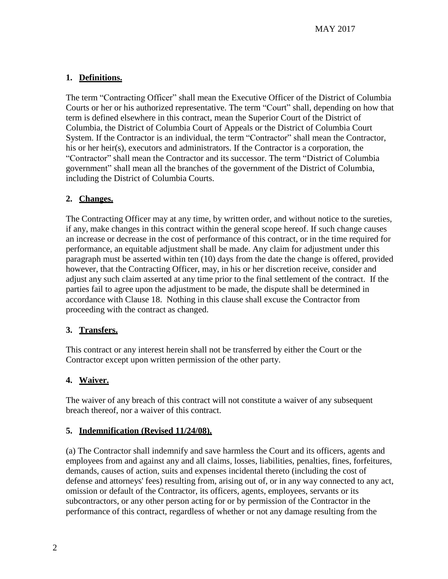# <span id="page-2-0"></span>**1. Definitions.**

The term "Contracting Officer" shall mean the Executive Officer of the District of Columbia Courts or her or his authorized representative. The term "Court" shall, depending on how that term is defined elsewhere in this contract, mean the Superior Court of the District of Columbia, the District of Columbia Court of Appeals or the District of Columbia Court System. If the Contractor is an individual, the term "Contractor" shall mean the Contractor, his or her heir(s), executors and administrators. If the Contractor is a corporation, the "Contractor" shall mean the Contractor and its successor. The term "District of Columbia government" shall mean all the branches of the government of the District of Columbia, including the District of Columbia Courts.

# **2. Changes.**

The Contracting Officer may at any time, by written order, and without notice to the sureties, if any, make changes in this contract within the general scope hereof. If such change causes an increase or decrease in the cost of performance of this contract, or in the time required for performance, an equitable adjustment shall be made. Any claim for adjustment under this paragraph must be asserted within ten (10) days from the date the change is offered, provided however, that the Contracting Officer, may, in his or her discretion receive, consider and adjust any such claim asserted at any time prior to the final settlement of the contract. If the parties fail to agree upon the adjustment to be made, the dispute shall be determined in accordance with Clause 18. Nothing in this clause shall excuse the Contractor from proceeding with the contract as changed.

#### **3. Transfers.**

This contract or any interest herein shall not be transferred by either the Court or the Contractor except upon written permission of the other party.

#### **4. Waiver.**

The waiver of any breach of this contract will not constitute a waiver of any subsequent breach thereof, nor a waiver of this contract.

#### **5. Indemnification (Revised 11/24/08).**

(a) The Contractor shall indemnify and save harmless the Court and its officers, agents and employees from and against any and all claims, losses, liabilities, penalties, fines, forfeitures, demands, causes of action, suits and expenses incidental thereto (including the cost of defense and attorneys' fees) resulting from, arising out of, or in any way connected to any act, omission or default of the Contractor, its officers, agents, employees, servants or its subcontractors, or any other person acting for or by permission of the Contractor in the performance of this contract, regardless of whether or not any damage resulting from the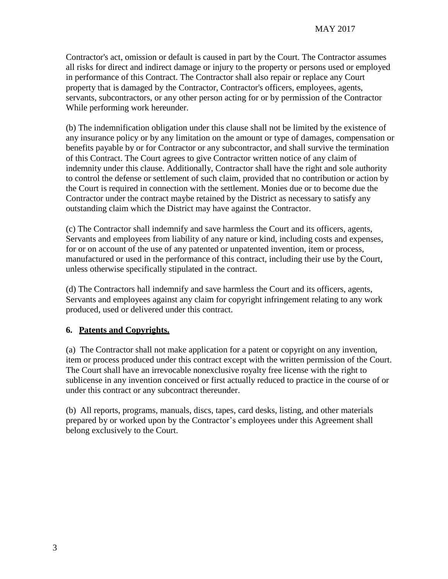<span id="page-3-0"></span>Contractor's act, omission or default is caused in part by the Court. The Contractor assumes all risks for direct and indirect damage or injury to the property or persons used or employed in performance of this Contract. The Contractor shall also repair or replace any Court property that is damaged by the Contractor, Contractor's officers, employees, agents, servants, subcontractors, or any other person acting for or by permission of the Contractor While performing work hereunder.

(b) The indemnification obligation under this clause shall not be limited by the existence of any insurance policy or by any limitation on the amount or type of damages, compensation or benefits payable by or for Contractor or any subcontractor, and shall survive the termination of this Contract. The Court agrees to give Contractor written notice of any claim of indemnity under this clause. Additionally, Contractor shall have the right and sole authority to control the defense or settlement of such claim, provided that no contribution or action by the Court is required in connection with the settlement. Monies due or to become due the Contractor under the contract maybe retained by the District as necessary to satisfy any outstanding claim which the District may have against the Contractor.

(c) The Contractor shall indemnify and save harmless the Court and its officers, agents, Servants and employees from liability of any nature or kind, including costs and expenses, for or on account of the use of any patented or unpatented invention, item or process, manufactured or used in the performance of this contract, including their use by the Court, unless otherwise specifically stipulated in the contract.

(d) The Contractors hall indemnify and save harmless the Court and its officers, agents, Servants and employees against any claim for copyright infringement relating to any work produced, used or delivered under this contract.

# **6. Patents and Copyrights.**

(a) The Contractor shall not make application for a patent or copyright on any invention, item or process produced under this contract except with the written permission of the Court. The Court shall have an irrevocable nonexclusive royalty free license with the right to sublicense in any invention conceived or first actually reduced to practice in the course of or under this contract or any subcontract thereunder.

(b) All reports, programs, manuals, discs, tapes, card desks, listing, and other materials prepared by or worked upon by the Contractor's employees under this Agreement shall belong exclusively to the Court.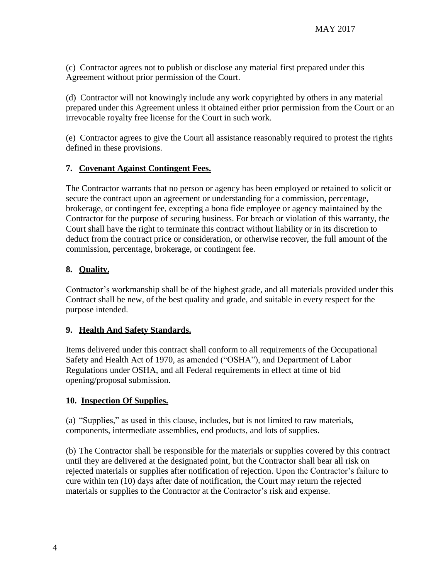<span id="page-4-0"></span>(c) Contractor agrees not to publish or disclose any material first prepared under this Agreement without prior permission of the Court.

(d) Contractor will not knowingly include any work copyrighted by others in any material prepared under this Agreement unless it obtained either prior permission from the Court or an irrevocable royalty free license for the Court in such work.

(e) Contractor agrees to give the Court all assistance reasonably required to protest the rights defined in these provisions.

#### **7. Covenant Against Contingent Fees.**

The Contractor warrants that no person or agency has been employed or retained to solicit or secure the contract upon an agreement or understanding for a commission, percentage, brokerage, or contingent fee, excepting a bona fide employee or agency maintained by the Contractor for the purpose of securing business. For breach or violation of this warranty, the Court shall have the right to terminate this contract without liability or in its discretion to deduct from the contract price or consideration, or otherwise recover, the full amount of the commission, percentage, brokerage, or contingent fee.

#### **8. Quality.**

Contractor's workmanship shall be of the highest grade, and all materials provided under this Contract shall be new, of the best quality and grade, and suitable in every respect for the purpose intended.

#### **9. Health And Safety Standards.**

Items delivered under this contract shall conform to all requirements of the Occupational Safety and Health Act of 1970, as amended ("OSHA"), and Department of Labor Regulations under OSHA, and all Federal requirements in effect at time of bid opening/proposal submission.

#### **10. Inspection Of Supplies.**

(a) "Supplies," as used in this clause, includes, but is not limited to raw materials, components, intermediate assemblies, end products, and lots of supplies.

(b) The Contractor shall be responsible for the materials or supplies covered by this contract until they are delivered at the designated point, but the Contractor shall bear all risk on rejected materials or supplies after notification of rejection. Upon the Contractor's failure to cure within ten (10) days after date of notification, the Court may return the rejected materials or supplies to the Contractor at the Contractor's risk and expense.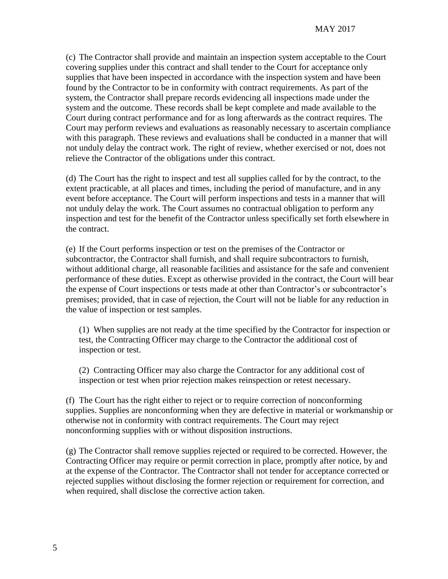(c) The Contractor shall provide and maintain an inspection system acceptable to the Court covering supplies under this contract and shall tender to the Court for acceptance only supplies that have been inspected in accordance with the inspection system and have been found by the Contractor to be in conformity with contract requirements. As part of the system, the Contractor shall prepare records evidencing all inspections made under the system and the outcome. These records shall be kept complete and made available to the Court during contract performance and for as long afterwards as the contract requires. The Court may perform reviews and evaluations as reasonably necessary to ascertain compliance with this paragraph. These reviews and evaluations shall be conducted in a manner that will not unduly delay the contract work. The right of review, whether exercised or not, does not relieve the Contractor of the obligations under this contract.

(d) The Court has the right to inspect and test all supplies called for by the contract, to the extent practicable, at all places and times, including the period of manufacture, and in any event before acceptance. The Court will perform inspections and tests in a manner that will not unduly delay the work. The Court assumes no contractual obligation to perform any inspection and test for the benefit of the Contractor unless specifically set forth elsewhere in the contract.

(e) If the Court performs inspection or test on the premises of the Contractor or subcontractor, the Contractor shall furnish, and shall require subcontractors to furnish, without additional charge, all reasonable facilities and assistance for the safe and convenient performance of these duties. Except as otherwise provided in the contract, the Court will bear the expense of Court inspections or tests made at other than Contractor's or subcontractor's premises; provided, that in case of rejection, the Court will not be liable for any reduction in the value of inspection or test samples.

(1) When supplies are not ready at the time specified by the Contractor for inspection or test, the Contracting Officer may charge to the Contractor the additional cost of inspection or test.

(2) Contracting Officer may also charge the Contractor for any additional cost of inspection or test when prior rejection makes reinspection or retest necessary.

(f) The Court has the right either to reject or to require correction of nonconforming supplies. Supplies are nonconforming when they are defective in material or workmanship or otherwise not in conformity with contract requirements. The Court may reject nonconforming supplies with or without disposition instructions.

(g) The Contractor shall remove supplies rejected or required to be corrected. However, the Contracting Officer may require or permit correction in place, promptly after notice, by and at the expense of the Contractor. The Contractor shall not tender for acceptance corrected or rejected supplies without disclosing the former rejection or requirement for correction, and when required, shall disclose the corrective action taken.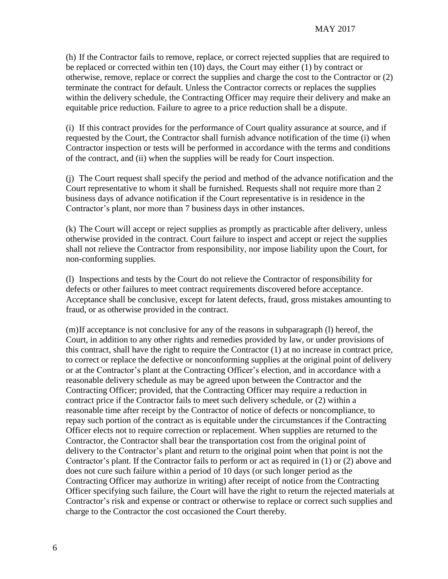(h) If the Contractor fails to remove, replace, or correct rejected supplies that are required to be replaced or corrected within ten (10) days, the Court may either (1) by contract or otherwise, remove, replace or correct the supplies and charge the cost to the Contractor or (2) terminate the contract for default. Unless the Contractor corrects or replaces the supplies within the delivery schedule, the Contracting Officer may require their delivery and make an equitable price reduction. Failure to agree to a price reduction shall be a dispute.

(i) If this contract provides for the performance of Court quality assurance at source, and if requested by the Court, the Contractor shall furnish advance notification of the time (i) when Contractor inspection or tests will be performed in accordance with the terms and conditions of the contract, and (ii) when the supplies will be ready for Court inspection.

(j) The Court request shall specify the period and method of the advance notification and the Court representative to whom it shall be furnished. Requests shall not require more than 2 business days of advance notification if the Court representative is in residence in the Contractor's plant, nor more than 7 business days in other instances.

(k) The Court will accept or reject supplies as promptly as practicable after delivery, unless otherwise provided in the contract. Court failure to inspect and accept or reject the supplies shall not relieve the Contractor from responsibility, nor impose liability upon the Court, for non-conforming supplies.

(l) Inspections and tests by the Court do not relieve the Contractor of responsibility for defects or other failures to meet contract requirements discovered before acceptance. Acceptance shall be conclusive, except for latent defects, fraud, gross mistakes amounting to fraud, or as otherwise provided in the contract.

(m)If acceptance is not conclusive for any of the reasons in subparagraph (l) hereof, the Court, in addition to any other rights and remedies provided by law, or under provisions of this contract, shall have the right to require the Contractor (1) at no increase in contract price, to correct or replace the defective or nonconforming supplies at the original point of delivery or at the Contractor's plant at the Contracting Officer's election, and in accordance with a reasonable delivery schedule as may be agreed upon between the Contractor and the Contracting Officer; provided, that the Contracting Officer may require a reduction in contract price if the Contractor fails to meet such delivery schedule, or (2) within a reasonable time after receipt by the Contractor of notice of defects or noncompliance, to repay such portion of the contract as is equitable under the circumstances if the Contracting Officer elects not to require correction or replacement. When supplies are returned to the Contractor, the Contractor shall bear the transportation cost from the original point of delivery to the Contractor's plant and return to the original point when that point is not the Contractor's plant. If the Contractor fails to perform or act as required in (1) or (2) above and does not cure such failure within a period of 10 days (or such longer period as the Contracting Officer may authorize in writing) after receipt of notice from the Contracting Officer specifying such failure, the Court will have the right to return the rejected materials at Contractor's risk and expense or contract or otherwise to replace or correct such supplies and charge to the Contractor the cost occasioned the Court thereby.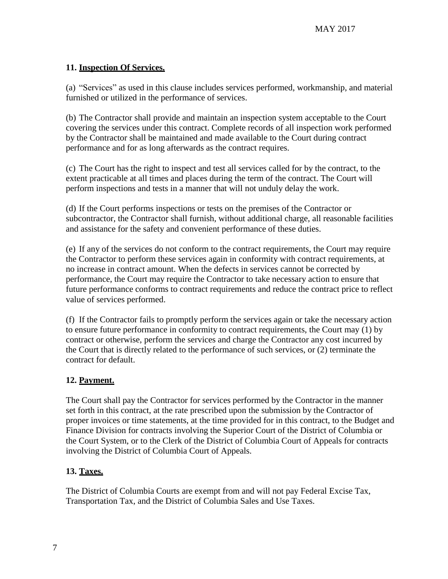#### <span id="page-7-0"></span>**11. Inspection Of Services.**

(a) "Services" as used in this clause includes services performed, workmanship, and material furnished or utilized in the performance of services.

(b) The Contractor shall provide and maintain an inspection system acceptable to the Court covering the services under this contract. Complete records of all inspection work performed by the Contractor shall be maintained and made available to the Court during contract performance and for as long afterwards as the contract requires.

(c) The Court has the right to inspect and test all services called for by the contract, to the extent practicable at all times and places during the term of the contract. The Court will perform inspections and tests in a manner that will not unduly delay the work.

(d) If the Court performs inspections or tests on the premises of the Contractor or subcontractor, the Contractor shall furnish, without additional charge, all reasonable facilities and assistance for the safety and convenient performance of these duties.

(e) If any of the services do not conform to the contract requirements, the Court may require the Contractor to perform these services again in conformity with contract requirements, at no increase in contract amount. When the defects in services cannot be corrected by performance, the Court may require the Contractor to take necessary action to ensure that future performance conforms to contract requirements and reduce the contract price to reflect value of services performed.

(f) If the Contractor fails to promptly perform the services again or take the necessary action to ensure future performance in conformity to contract requirements, the Court may (1) by contract or otherwise, perform the services and charge the Contractor any cost incurred by the Court that is directly related to the performance of such services, or (2) terminate the contract for default.

#### **12. Payment.**

The Court shall pay the Contractor for services performed by the Contractor in the manner set forth in this contract, at the rate prescribed upon the submission by the Contractor of proper invoices or time statements, at the time provided for in this contract, to the Budget and Finance Division for contracts involving the Superior Court of the District of Columbia or the Court System, or to the Clerk of the District of Columbia Court of Appeals for contracts involving the District of Columbia Court of Appeals.

#### **13. Taxes.**

The District of Columbia Courts are exempt from and will not pay Federal Excise Tax, Transportation Tax, and the District of Columbia Sales and Use Taxes.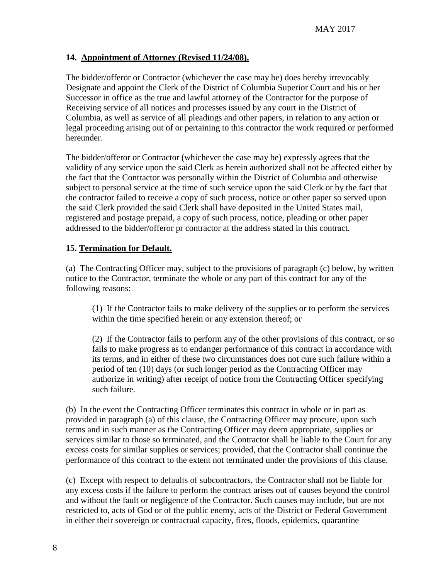#### <span id="page-8-0"></span>**14. Appointment of Attorney (Revised 11/24/08).**

The bidder/offeror or Contractor (whichever the case may be) does hereby irrevocably Designate and appoint the Clerk of the District of Columbia Superior Court and his or her Successor in office as the true and lawful attorney of the Contractor for the purpose of Receiving service of all notices and processes issued by any court in the District of Columbia, as well as service of all pleadings and other papers, in relation to any action or legal proceeding arising out of or pertaining to this contractor the work required or performed hereunder.

The bidder/offeror or Contractor (whichever the case may be) expressly agrees that the validity of any service upon the said Clerk as herein authorized shall not be affected either by the fact that the Contractor was personally within the District of Columbia and otherwise subject to personal service at the time of such service upon the said Clerk or by the fact that the contractor failed to receive a copy of such process, notice or other paper so served upon the said Clerk provided the said Clerk shall have deposited in the United States mail, registered and postage prepaid, a copy of such process, notice, pleading or other paper addressed to the bidder/offeror pr contractor at the address stated in this contract.

#### **15. Termination for Default.**

(a) The Contracting Officer may, subject to the provisions of paragraph (c) below, by written notice to the Contractor, terminate the whole or any part of this contract for any of the following reasons:

(1) If the Contractor fails to make delivery of the supplies or to perform the services within the time specified herein or any extension thereof; or

(2) If the Contractor fails to perform any of the other provisions of this contract, or so fails to make progress as to endanger performance of this contract in accordance with its terms, and in either of these two circumstances does not cure such failure within a period of ten (10) days (or such longer period as the Contracting Officer may authorize in writing) after receipt of notice from the Contracting Officer specifying such failure.

(b) In the event the Contracting Officer terminates this contract in whole or in part as provided in paragraph (a) of this clause, the Contracting Officer may procure, upon such terms and in such manner as the Contracting Officer may deem appropriate, supplies or services similar to those so terminated, and the Contractor shall be liable to the Court for any excess costs for similar supplies or services; provided, that the Contractor shall continue the performance of this contract to the extent not terminated under the provisions of this clause.

(c) Except with respect to defaults of subcontractors, the Contractor shall not be liable for any excess costs if the failure to perform the contract arises out of causes beyond the control and without the fault or negligence of the Contractor. Such causes may include, but are not restricted to, acts of God or of the public enemy, acts of the District or Federal Government in either their sovereign or contractual capacity, fires, floods, epidemics, quarantine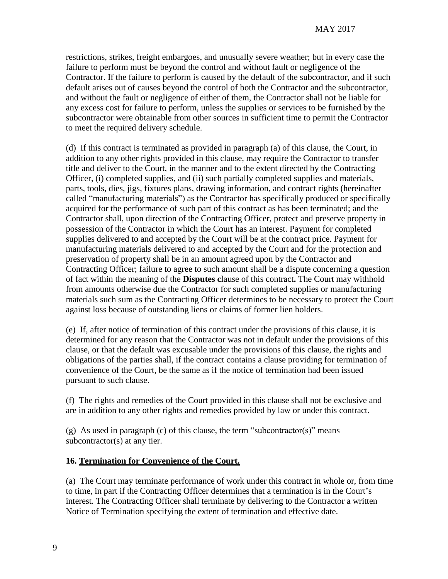<span id="page-9-0"></span>restrictions, strikes, freight embargoes, and unusually severe weather; but in every case the failure to perform must be beyond the control and without fault or negligence of the Contractor. If the failure to perform is caused by the default of the subcontractor, and if such default arises out of causes beyond the control of both the Contractor and the subcontractor, and without the fault or negligence of either of them, the Contractor shall not be liable for any excess cost for failure to perform, unless the supplies or services to be furnished by the subcontractor were obtainable from other sources in sufficient time to permit the Contractor to meet the required delivery schedule.

(d) If this contract is terminated as provided in paragraph (a) of this clause, the Court, in addition to any other rights provided in this clause, may require the Contractor to transfer title and deliver to the Court, in the manner and to the extent directed by the Contracting Officer, (i) completed supplies, and (ii) such partially completed supplies and materials, parts, tools, dies, jigs, fixtures plans, drawing information, and contract rights (hereinafter called "manufacturing materials") as the Contractor has specifically produced or specifically acquired for the performance of such part of this contract as has been terminated; and the Contractor shall, upon direction of the Contracting Officer, protect and preserve property in possession of the Contractor in which the Court has an interest. Payment for completed supplies delivered to and accepted by the Court will be at the contract price. Payment for manufacturing materials delivered to and accepted by the Court and for the protection and preservation of property shall be in an amount agreed upon by the Contractor and Contracting Officer; failure to agree to such amount shall be a dispute concerning a question of fact within the meaning of the **Disputes c**lause of this contract**.** The Court may withhold from amounts otherwise due the Contractor for such completed supplies or manufacturing materials such sum as the Contracting Officer determines to be necessary to protect the Court against loss because of outstanding liens or claims of former lien holders.

(e) If, after notice of termination of this contract under the provisions of this clause, it is determined for any reason that the Contractor was not in default under the provisions of this clause, or that the default was excusable under the provisions of this clause, the rights and obligations of the parties shall, if the contract contains a clause providing for termination of convenience of the Court, be the same as if the notice of termination had been issued pursuant to such clause.

(f) The rights and remedies of the Court provided in this clause shall not be exclusive and are in addition to any other rights and remedies provided by law or under this contract.

(g) As used in paragraph (c) of this clause, the term "subcontractor(s)" means subcontractor(s) at any tier.

#### **16. Termination for Convenience of the Court.**

(a) The Court may terminate performance of work under this contract in whole or, from time to time, in part if the Contracting Officer determines that a termination is in the Court's interest. The Contracting Officer shall terminate by delivering to the Contractor a written Notice of Termination specifying the extent of termination and effective date.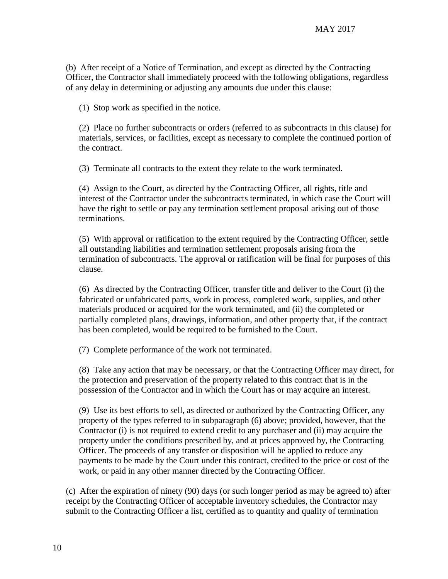(b) After receipt of a Notice of Termination, and except as directed by the Contracting Officer, the Contractor shall immediately proceed with the following obligations, regardless of any delay in determining or adjusting any amounts due under this clause:

(1) Stop work as specified in the notice.

(2) Place no further subcontracts or orders (referred to as subcontracts in this clause) for materials, services, or facilities, except as necessary to complete the continued portion of the contract.

(3) Terminate all contracts to the extent they relate to the work terminated.

(4) Assign to the Court, as directed by the Contracting Officer, all rights, title and interest of the Contractor under the subcontracts terminated, in which case the Court will have the right to settle or pay any termination settlement proposal arising out of those terminations.

(5) With approval or ratification to the extent required by the Contracting Officer, settle all outstanding liabilities and termination settlement proposals arising from the termination of subcontracts. The approval or ratification will be final for purposes of this clause.

(6) As directed by the Contracting Officer, transfer title and deliver to the Court (i) the fabricated or unfabricated parts, work in process, completed work, supplies, and other materials produced or acquired for the work terminated, and (ii) the completed or partially completed plans, drawings, information, and other property that, if the contract has been completed, would be required to be furnished to the Court.

(7) Complete performance of the work not terminated.

(8) Take any action that may be necessary, or that the Contracting Officer may direct, for the protection and preservation of the property related to this contract that is in the possession of the Contractor and in which the Court has or may acquire an interest.

(9) Use its best efforts to sell, as directed or authorized by the Contracting Officer, any property of the types referred to in subparagraph (6) above; provided, however, that the Contractor (i) is not required to extend credit to any purchaser and (ii) may acquire the property under the conditions prescribed by, and at prices approved by, the Contracting Officer. The proceeds of any transfer or disposition will be applied to reduce any payments to be made by the Court under this contract, credited to the price or cost of the work, or paid in any other manner directed by the Contracting Officer.

(c) After the expiration of ninety (90) days (or such longer period as may be agreed to) after receipt by the Contracting Officer of acceptable inventory schedules, the Contractor may submit to the Contracting Officer a list, certified as to quantity and quality of termination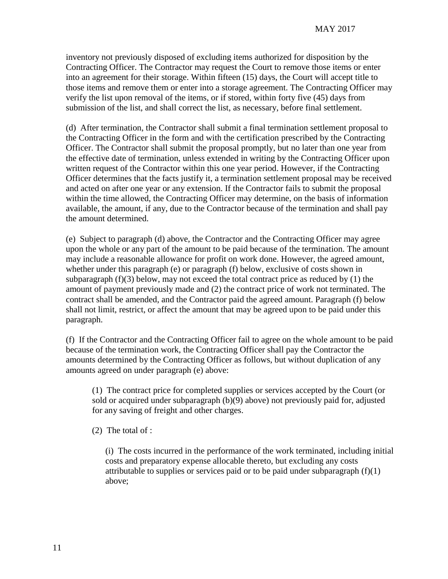inventory not previously disposed of excluding items authorized for disposition by the Contracting Officer. The Contractor may request the Court to remove those items or enter into an agreement for their storage. Within fifteen (15) days, the Court will accept title to those items and remove them or enter into a storage agreement. The Contracting Officer may verify the list upon removal of the items, or if stored, within forty five (45) days from submission of the list, and shall correct the list, as necessary, before final settlement.

(d) After termination, the Contractor shall submit a final termination settlement proposal to the Contracting Officer in the form and with the certification prescribed by the Contracting Officer. The Contractor shall submit the proposal promptly, but no later than one year from the effective date of termination, unless extended in writing by the Contracting Officer upon written request of the Contractor within this one year period. However, if the Contracting Officer determines that the facts justify it, a termination settlement proposal may be received and acted on after one year or any extension. If the Contractor fails to submit the proposal within the time allowed, the Contracting Officer may determine, on the basis of information available, the amount, if any, due to the Contractor because of the termination and shall pay the amount determined.

(e) Subject to paragraph (d) above, the Contractor and the Contracting Officer may agree upon the whole or any part of the amount to be paid because of the termination. The amount may include a reasonable allowance for profit on work done. However, the agreed amount, whether under this paragraph (e) or paragraph (f) below, exclusive of costs shown in subparagraph  $(f)(3)$  below, may not exceed the total contract price as reduced by  $(1)$  the amount of payment previously made and (2) the contract price of work not terminated. The contract shall be amended, and the Contractor paid the agreed amount. Paragraph (f) below shall not limit, restrict, or affect the amount that may be agreed upon to be paid under this paragraph.

(f) If the Contractor and the Contracting Officer fail to agree on the whole amount to be paid because of the termination work, the Contracting Officer shall pay the Contractor the amounts determined by the Contracting Officer as follows, but without duplication of any amounts agreed on under paragraph (e) above:

(1) The contract price for completed supplies or services accepted by the Court (or sold or acquired under subparagraph (b)(9) above) not previously paid for, adjusted for any saving of freight and other charges.

(2) The total of :

(i) The costs incurred in the performance of the work terminated, including initial costs and preparatory expense allocable thereto, but excluding any costs attributable to supplies or services paid or to be paid under subparagraph  $(f)(1)$ above;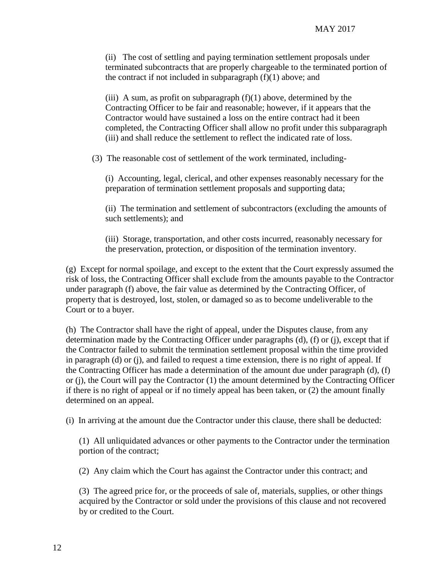(ii) The cost of settling and paying termination settlement proposals under terminated subcontracts that are properly chargeable to the terminated portion of the contract if not included in subparagraph (f)(1) above; and

(iii) A sum, as profit on subparagraph  $(f)(1)$  above, determined by the Contracting Officer to be fair and reasonable; however, if it appears that the Contractor would have sustained a loss on the entire contract had it been completed, the Contracting Officer shall allow no profit under this subparagraph (iii) and shall reduce the settlement to reflect the indicated rate of loss.

(3) The reasonable cost of settlement of the work terminated, including-

(i) Accounting, legal, clerical, and other expenses reasonably necessary for the preparation of termination settlement proposals and supporting data;

(ii) The termination and settlement of subcontractors (excluding the amounts of such settlements); and

(iii) Storage, transportation, and other costs incurred, reasonably necessary for the preservation, protection, or disposition of the termination inventory.

(g) Except for normal spoilage, and except to the extent that the Court expressly assumed the risk of loss, the Contracting Officer shall exclude from the amounts payable to the Contractor under paragraph (f) above, the fair value as determined by the Contracting Officer, of property that is destroyed, lost, stolen, or damaged so as to become undeliverable to the Court or to a buyer.

(h) The Contractor shall have the right of appeal, under the Disputes clause, from any determination made by the Contracting Officer under paragraphs (d), (f) or (j), except that if the Contractor failed to submit the termination settlement proposal within the time provided in paragraph (d) or (j), and failed to request a time extension, there is no right of appeal. If the Contracting Officer has made a determination of the amount due under paragraph (d), (f) or (j), the Court will pay the Contractor (1) the amount determined by the Contracting Officer if there is no right of appeal or if no timely appeal has been taken, or (2) the amount finally determined on an appeal.

(i) In arriving at the amount due the Contractor under this clause, there shall be deducted:

(1) All unliquidated advances or other payments to the Contractor under the termination portion of the contract;

(2) Any claim which the Court has against the Contractor under this contract; and

(3) The agreed price for, or the proceeds of sale of, materials, supplies, or other things acquired by the Contractor or sold under the provisions of this clause and not recovered by or credited to the Court.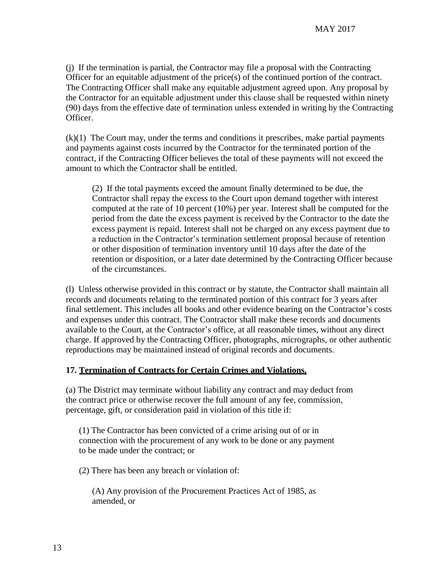<span id="page-13-0"></span>(j) If the termination is partial, the Contractor may file a proposal with the Contracting Officer for an equitable adjustment of the price(s) of the continued portion of the contract. The Contracting Officer shall make any equitable adjustment agreed upon. Any proposal by the Contractor for an equitable adjustment under this clause shall be requested within ninety (90) days from the effective date of termination unless extended in writing by the Contracting Officer.

(k)(1) The Court may, under the terms and conditions it prescribes, make partial payments and payments against costs incurred by the Contractor for the terminated portion of the contract, if the Contracting Officer believes the total of these payments will not exceed the amount to which the Contractor shall be entitled.

(2) If the total payments exceed the amount finally determined to be due, the Contractor shall repay the excess to the Court upon demand together with interest computed at the rate of 10 percent (10%) per year. Interest shall be computed for the period from the date the excess payment is received by the Contractor to the date the excess payment is repaid. Interest shall not be charged on any excess payment due to a reduction in the Contractor's termination settlement proposal because of retention or other disposition of termination inventory until 10 days after the date of the retention or disposition, or a later date determined by the Contracting Officer because of the circumstances.

(l) Unless otherwise provided in this contract or by statute, the Contractor shall maintain all records and documents relating to the terminated portion of this contract for 3 years after final settlement. This includes all books and other evidence bearing on the Contractor's costs and expenses under this contract. The Contractor shall make these records and documents available to the Court, at the Contractor's office, at all reasonable times, without any direct charge. If approved by the Contracting Officer, photographs, micrographs, or other authentic reproductions may be maintained instead of original records and documents.

#### **17. Termination of Contracts for Certain Crimes and Violations.**

(a) The District may terminate without liability any contract and may deduct from the contract price or otherwise recover the full amount of any fee, commission, percentage, gift, or consideration paid in violation of this title if:

(1) The Contractor has been convicted of a crime arising out of or in connection with the procurement of any work to be done or any payment to be made under the contract; or

(2) There has been any breach or violation of:

(A) Any provision of the Procurement Practices Act of 1985, as amended, or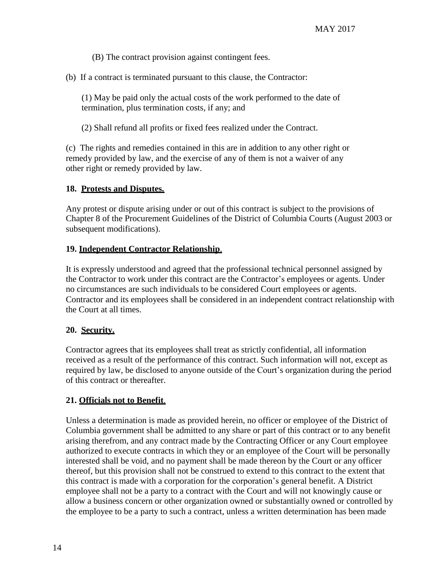(B) The contract provision against contingent fees.

<span id="page-14-0"></span>(b) If a contract is terminated pursuant to this clause, the Contractor:

(1) May be paid only the actual costs of the work performed to the date of termination, plus termination costs, if any; and

(2) Shall refund all profits or fixed fees realized under the Contract.

(c) The rights and remedies contained in this are in addition to any other right or remedy provided by law, and the exercise of any of them is not a waiver of any other right or remedy provided by law.

#### **18. Protests and Disputes.**

Any protest or dispute arising under or out of this contract is subject to the provisions of Chapter 8 of the Procurement Guidelines of the District of Columbia Courts (August 2003 or subsequent modifications).

#### **19. Independent Contractor Relationship**.

It is expressly understood and agreed that the professional technical personnel assigned by the Contractor to work under this contract are the Contractor's employees or agents. Under no circumstances are such individuals to be considered Court employees or agents. Contractor and its employees shall be considered in an independent contract relationship with the Court at all times.

#### **20. Security.**

Contractor agrees that its employees shall treat as strictly confidential, all information received as a result of the performance of this contract. Such information will not, except as required by law, be disclosed to anyone outside of the Court's organization during the period of this contract or thereafter.

#### **21. Officials not to Benefit**.

Unless a determination is made as provided herein, no officer or employee of the District of Columbia government shall be admitted to any share or part of this contract or to any benefit arising therefrom, and any contract made by the Contracting Officer or any Court employee authorized to execute contracts in which they or an employee of the Court will be personally interested shall be void, and no payment shall be made thereon by the Court or any officer thereof, but this provision shall not be construed to extend to this contract to the extent that this contract is made with a corporation for the corporation's general benefit. A District employee shall not be a party to a contract with the Court and will not knowingly cause or allow a business concern or other organization owned or substantially owned or controlled by the employee to be a party to such a contract, unless a written determination has been made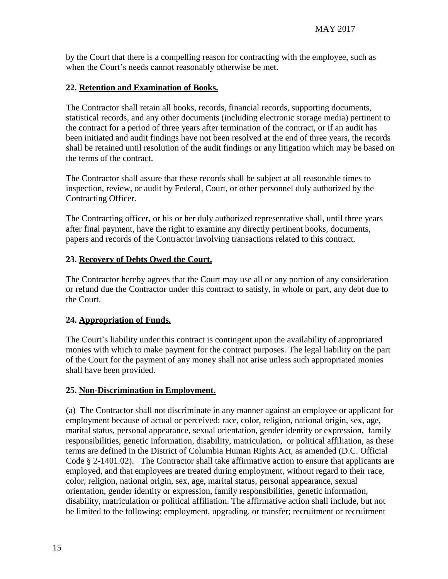<span id="page-15-0"></span>by the Court that there is a compelling reason for contracting with the employee, such as when the Court's needs cannot reasonably otherwise be met.

#### **22. Retention and Examination of Books.**

The Contractor shall retain all books, records, financial records, supporting documents, statistical records, and any other documents (including electronic storage media) pertinent to the contract for a period of three years after termination of the contract, or if an audit has been initiated and audit findings have not been resolved at the end of three years, the records shall be retained until resolution of the audit findings or any litigation which may be based on the terms of the contract.

The Contractor shall assure that these records shall be subject at all reasonable times to inspection, review, or audit by Federal, Court, or other personnel duly authorized by the Contracting Officer.

The Contracting officer, or his or her duly authorized representative shall, until three years after final payment, have the right to examine any directly pertinent books, documents, papers and records of the Contractor involving transactions related to this contract.

#### **23. Recovery of Debts Owed the Court.**

The Contractor hereby agrees that the Court may use all or any portion of any consideration or refund due the Contractor under this contract to satisfy, in whole or part, any debt due to the Court.

#### **24. Appropriation of Funds.**

The Court's liability under this contract is contingent upon the availability of appropriated monies with which to make payment for the contract purposes. The legal liability on the part of the Court for the payment of any money shall not arise unless such appropriated monies shall have been provided.

#### **25. Non-Discrimination in Employment.**

(a) The Contractor shall not discriminate in any manner against an employee or applicant for employment because of actual or perceived: race, color, religion, national origin, sex, age, marital status, personal appearance, sexual orientation, gender identity or expression, family responsibilities, genetic information, disability, matriculation, or political affiliation, as these terms are defined in the District of Columbia Human Rights Act, as amended (D.C. Official Code § 2-1401.02). The Contractor shall take affirmative action to ensure that applicants are employed, and that employees are treated during employment, without regard to their race, color, religion, national origin, sex, age, marital status, personal appearance, sexual orientation, gender identity or expression, family responsibilities, genetic information, disability, matriculation or political affiliation. The affirmative action shall include, but not be limited to the following: employment, upgrading, or transfer; recruitment or recruitment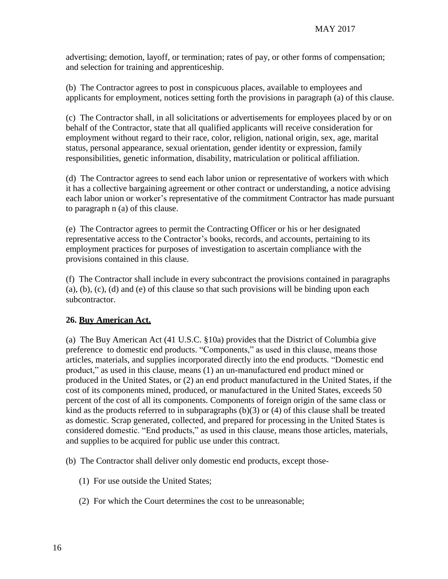<span id="page-16-0"></span>advertising; demotion, layoff, or termination; rates of pay, or other forms of compensation; and selection for training and apprenticeship.

(b) The Contractor agrees to post in conspicuous places, available to employees and applicants for employment, notices setting forth the provisions in paragraph (a) of this clause.

(c) The Contractor shall, in all solicitations or advertisements for employees placed by or on behalf of the Contractor, state that all qualified applicants will receive consideration for employment without regard to their race, color, religion, national origin, sex, age, marital status, personal appearance, sexual orientation, gender identity or expression, family responsibilities, genetic information, disability, matriculation or political affiliation.

(d) The Contractor agrees to send each labor union or representative of workers with which it has a collective bargaining agreement or other contract or understanding, a notice advising each labor union or worker's representative of the commitment Contractor has made pursuant to paragraph n (a) of this clause.

(e) The Contractor agrees to permit the Contracting Officer or his or her designated representative access to the Contractor's books, records, and accounts, pertaining to its employment practices for purposes of investigation to ascertain compliance with the provisions contained in this clause.

(f) The Contractor shall include in every subcontract the provisions contained in paragraphs (a), (b), (c), (d) and (e) of this clause so that such provisions will be binding upon each subcontractor.

#### **26. Buy American Act.**

(a) The Buy American Act (41 U.S.C. §10a) provides that the District of Columbia give preference to domestic end products. "Components," as used in this clause, means those articles, materials, and supplies incorporated directly into the end products. "Domestic end product," as used in this clause, means (1) an un-manufactured end product mined or produced in the United States, or (2) an end product manufactured in the United States, if the cost of its components mined, produced, or manufactured in the United States, exceeds 50 percent of the cost of all its components. Components of foreign origin of the same class or kind as the products referred to in subparagraphs (b)(3) or (4) of this clause shall be treated as domestic. Scrap generated, collected, and prepared for processing in the United States is considered domestic. "End products," as used in this clause, means those articles, materials, and supplies to be acquired for public use under this contract.

(b) The Contractor shall deliver only domestic end products, except those-

- (1) For use outside the United States;
- (2) For which the Court determines the cost to be unreasonable;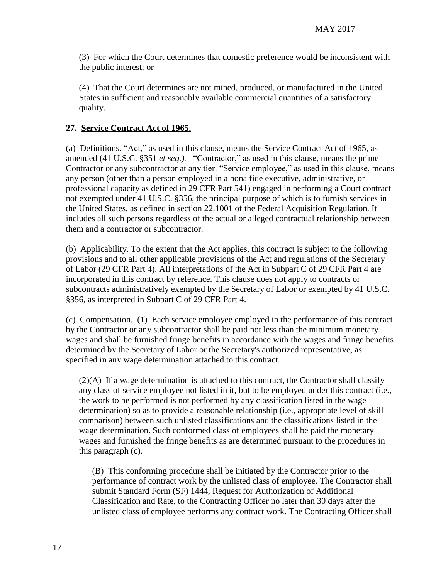<span id="page-17-0"></span>(3) For which the Court determines that domestic preference would be inconsistent with the public interest; or

(4) That the Court determines are not mined, produced, or manufactured in the United States in sufficient and reasonably available commercial quantities of a satisfactory quality.

#### **27. Service Contract Act of 1965.**

(a) Definitions. "Act," as used in this clause, means the Service Contract Act of 1965, as amended (41 U.S.C. §351 *et seq.).* "Contractor," as used in this clause, means the prime Contractor or any subcontractor at any tier. "Service employee," as used in this clause, means any person (other than a person employed in a bona fide executive, administrative, or professional capacity as defined in 29 CFR Part 541) engaged in performing a Court contract not exempted under 41 U.S.C. §356, the principal purpose of which is to furnish services in the United States, as defined in section 22.1001 of the Federal Acquisition Regulation. It includes all such persons regardless of the actual or alleged contractual relationship between them and a contractor or subcontractor.

(b) Applicability. To the extent that the Act applies, this contract is subject to the following provisions and to all other applicable provisions of the Act and regulations of the Secretary of Labor (29 CFR Part 4). All interpretations of the Act in Subpart C of 29 CFR Part 4 are incorporated in this contract by reference. This clause does not apply to contracts or subcontracts administratively exempted by the Secretary of Labor or exempted by 41 U.S.C. §356, as interpreted in Subpart C of 29 CFR Part 4.

(c) Compensation. (1) Each service employee employed in the performance of this contract by the Contractor or any subcontractor shall be paid not less than the minimum monetary wages and shall be furnished fringe benefits in accordance with the wages and fringe benefits determined by the Secretary of Labor or the Secretary's authorized representative, as specified in any wage determination attached to this contract.

 $(2)(A)$  If a wage determination is attached to this contract, the Contractor shall classify any class of service employee not listed in it, but to be employed under this contract (i.e., the work to be performed is not performed by any classification listed in the wage determination) so as to provide a reasonable relationship (i.e., appropriate level of skill comparison) between such unlisted classifications and the classifications listed in the wage determination. Such conformed class of employees shall be paid the monetary wages and furnished the fringe benefits as are determined pursuant to the procedures in this paragraph (c).

(B) This conforming procedure shall be initiated by the Contractor prior to the performance of contract work by the unlisted class of employee. The Contractor shall submit Standard Form (SF) 1444, Request for Authorization of Additional Classification and Rate, to the Contracting Officer no later than 30 days after the unlisted class of employee performs any contract work. The Contracting Officer shall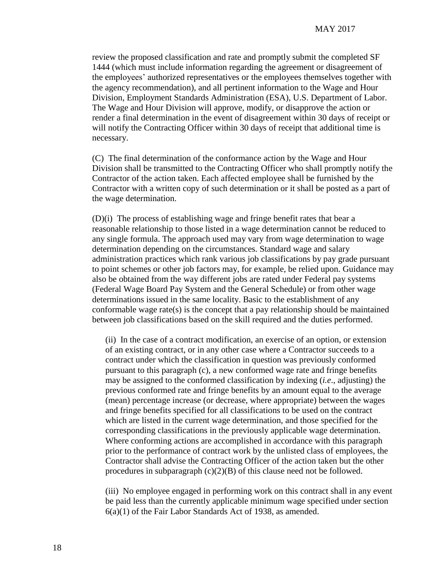review the proposed classification and rate and promptly submit the completed SF 1444 (which must include information regarding the agreement or disagreement of the employees' authorized representatives or the employees themselves together with the agency recommendation), and all pertinent information to the Wage and Hour Division, Employment Standards Administration (ESA), U.S. Department of Labor. The Wage and Hour Division will approve, modify, or disapprove the action or render a final determination in the event of disagreement within 30 days of receipt or will notify the Contracting Officer within 30 days of receipt that additional time is necessary.

(C) The final determination of the conformance action by the Wage and Hour Division shall be transmitted to the Contracting Officer who shall promptly notify the Contractor of the action taken. Each affected employee shall be furnished by the Contractor with a written copy of such determination or it shall be posted as a part of the wage determination.

(D)(i) The process of establishing wage and fringe benefit rates that bear a reasonable relationship to those listed in a wage determination cannot be reduced to any single formula. The approach used may vary from wage determination to wage determination depending on the circumstances. Standard wage and salary administration practices which rank various job classifications by pay grade pursuant to point schemes or other job factors may, for example, be relied upon. Guidance may also be obtained from the way different jobs are rated under Federal pay systems (Federal Wage Board Pay System and the General Schedule) or from other wage determinations issued in the same locality. Basic to the establishment of any conformable wage rate(s) is the concept that a pay relationship should be maintained between job classifications based on the skill required and the duties performed.

(ii) In the case of a contract modification, an exercise of an option, or extension of an existing contract, or in any other case where a Contractor succeeds to a contract under which the classification in question was previously conformed pursuant to this paragraph (c), a new conformed wage rate and fringe benefits may be assigned to the conformed classification by indexing (*i.e*., adjusting) the previous conformed rate and fringe benefits by an amount equal to the average (mean) percentage increase (or decrease, where appropriate) between the wages and fringe benefits specified for all classifications to be used on the contract which are listed in the current wage determination, and those specified for the corresponding classifications in the previously applicable wage determination. Where conforming actions are accomplished in accordance with this paragraph prior to the performance of contract work by the unlisted class of employees, the Contractor shall advise the Contracting Officer of the action taken but the other procedures in subparagraph  $(c)(2)(B)$  of this clause need not be followed.

(iii) No employee engaged in performing work on this contract shall in any event be paid less than the currently applicable minimum wage specified under section 6(a)(1) of the Fair Labor Standards Act of 1938, as amended.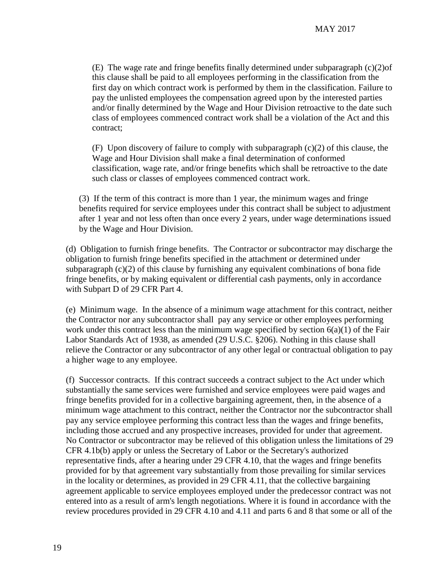(E) The wage rate and fringe benefits finally determined under subparagraph (c)(2)of this clause shall be paid to all employees performing in the classification from the first day on which contract work is performed by them in the classification. Failure to pay the unlisted employees the compensation agreed upon by the interested parties and/or finally determined by the Wage and Hour Division retroactive to the date such class of employees commenced contract work shall be a violation of the Act and this contract;

(F) Upon discovery of failure to comply with subparagraph (c)(2) of this clause, the Wage and Hour Division shall make a final determination of conformed classification, wage rate, and/or fringe benefits which shall be retroactive to the date such class or classes of employees commenced contract work.

(3) If the term of this contract is more than 1 year, the minimum wages and fringe benefits required for service employees under this contract shall be subject to adjustment after 1 year and not less often than once every 2 years, under wage determinations issued by the Wage and Hour Division.

(d) Obligation to furnish fringe benefits. The Contractor or subcontractor may discharge the obligation to furnish fringe benefits specified in the attachment or determined under subparagraph (c)(2) of this clause by furnishing any equivalent combinations of bona fide fringe benefits, or by making equivalent or differential cash payments, only in accordance with Subpart D of 29 CFR Part 4.

(e) Minimum wage. In the absence of a minimum wage attachment for this contract, neither the Contractor nor any subcontractor shall pay any service or other employees performing work under this contract less than the minimum wage specified by section  $6(a)(1)$  of the Fair Labor Standards Act of 1938, as amended (29 U.S.C. §206). Nothing in this clause shall relieve the Contractor or any subcontractor of any other legal or contractual obligation to pay a higher wage to any employee.

(f) Successor contracts. If this contract succeeds a contract subject to the Act under which substantially the same services were furnished and service employees were paid wages and fringe benefits provided for in a collective bargaining agreement, then, in the absence of a minimum wage attachment to this contract, neither the Contractor nor the subcontractor shall pay any service employee performing this contract less than the wages and fringe benefits, including those accrued and any prospective increases, provided for under that agreement. No Contractor or subcontractor may be relieved of this obligation unless the limitations of 29 CFR 4.1b(b) apply or unless the Secretary of Labor or the Secretary's authorized representative finds, after a hearing under 29 CFR 4.10, that the wages and fringe benefits provided for by that agreement vary substantially from those prevailing for similar services in the locality or determines, as provided in 29 CFR 4.11, that the collective bargaining agreement applicable to service employees employed under the predecessor contract was not entered into as a result of arm's length negotiations. Where it is found in accordance with the review procedures provided in 29 CFR 4.10 and 4.11 and parts 6 and 8 that some or all of the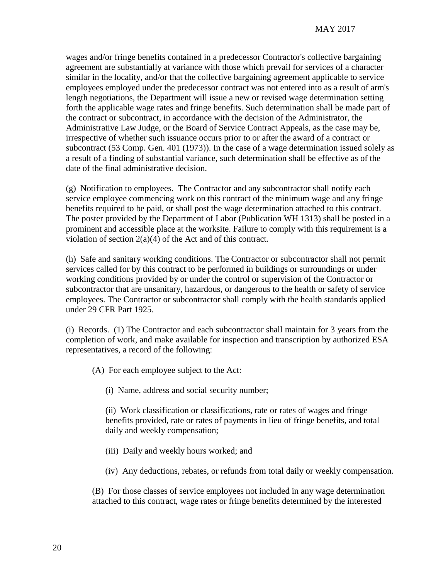wages and/or fringe benefits contained in a predecessor Contractor's collective bargaining agreement are substantially at variance with those which prevail for services of a character similar in the locality, and/or that the collective bargaining agreement applicable to service employees employed under the predecessor contract was not entered into as a result of arm's length negotiations, the Department will issue a new or revised wage determination setting forth the applicable wage rates and fringe benefits. Such determination shall be made part of the contract or subcontract, in accordance with the decision of the Administrator, the Administrative Law Judge, or the Board of Service Contract Appeals, as the case may be, irrespective of whether such issuance occurs prior to or after the award of a contract or subcontract (53 Comp. Gen. 401 (1973)). In the case of a wage determination issued solely as a result of a finding of substantial variance, such determination shall be effective as of the date of the final administrative decision.

(g) Notification to employees. The Contractor and any subcontractor shall notify each service employee commencing work on this contract of the minimum wage and any fringe benefits required to be paid, or shall post the wage determination attached to this contract. The poster provided by the Department of Labor (Publication WH 1313) shall be posted in a prominent and accessible place at the worksite. Failure to comply with this requirement is a violation of section 2(a)(4) of the Act and of this contract.

(h) Safe and sanitary working conditions. The Contractor or subcontractor shall not permit services called for by this contract to be performed in buildings or surroundings or under working conditions provided by or under the control or supervision of the Contractor or subcontractor that are unsanitary, hazardous, or dangerous to the health or safety of service employees. The Contractor or subcontractor shall comply with the health standards applied under 29 CFR Part 1925.

(i) Records. (1) The Contractor and each subcontractor shall maintain for 3 years from the completion of work, and make available for inspection and transcription by authorized ESA representatives, a record of the following:

(A) For each employee subject to the Act:

(i) Name, address and social security number;

(ii) Work classification or classifications, rate or rates of wages and fringe benefits provided, rate or rates of payments in lieu of fringe benefits, and total daily and weekly compensation;

(iii) Daily and weekly hours worked; and

(iv) Any deductions, rebates, or refunds from total daily or weekly compensation.

(B) For those classes of service employees not included in any wage determination attached to this contract, wage rates or fringe benefits determined by the interested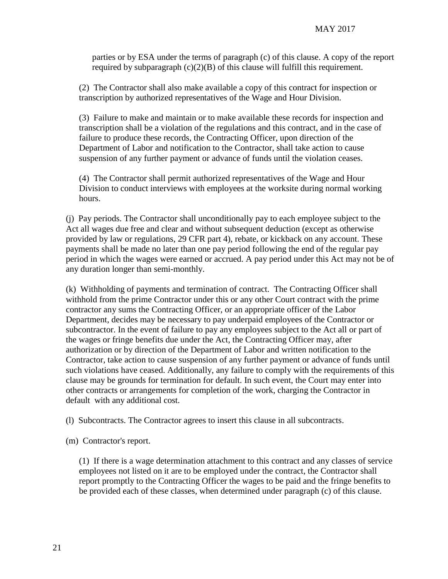parties or by ESA under the terms of paragraph (c) of this clause. A copy of the report required by subparagraph  $(c)(2)(B)$  of this clause will fulfill this requirement.

(2) The Contractor shall also make available a copy of this contract for inspection or transcription by authorized representatives of the Wage and Hour Division.

(3) Failure to make and maintain or to make available these records for inspection and transcription shall be a violation of the regulations and this contract, and in the case of failure to produce these records, the Contracting Officer, upon direction of the Department of Labor and notification to the Contractor, shall take action to cause suspension of any further payment or advance of funds until the violation ceases.

(4) The Contractor shall permit authorized representatives of the Wage and Hour Division to conduct interviews with employees at the worksite during normal working hours.

(j) Pay periods. The Contractor shall unconditionally pay to each employee subject to the Act all wages due free and clear and without subsequent deduction (except as otherwise provided by law or regulations, 29 CFR part 4), rebate, or kickback on any account. These payments shall be made no later than one pay period following the end of the regular pay period in which the wages were earned or accrued. A pay period under this Act may not be of any duration longer than semi-monthly.

(k) Withholding of payments and termination of contract. The Contracting Officer shall withhold from the prime Contractor under this or any other Court contract with the prime contractor any sums the Contracting Officer, or an appropriate officer of the Labor Department, decides may be necessary to pay underpaid employees of the Contractor or subcontractor. In the event of failure to pay any employees subject to the Act all or part of the wages or fringe benefits due under the Act, the Contracting Officer may, after authorization or by direction of the Department of Labor and written notification to the Contractor, take action to cause suspension of any further payment or advance of funds until such violations have ceased. Additionally, any failure to comply with the requirements of this clause may be grounds for termination for default. In such event, the Court may enter into other contracts or arrangements for completion of the work, charging the Contractor in default with any additional cost.

(l) Subcontracts. The Contractor agrees to insert this clause in all subcontracts.

(m) Contractor's report.

(1) If there is a wage determination attachment to this contract and any classes of service employees not listed on it are to be employed under the contract, the Contractor shall report promptly to the Contracting Officer the wages to be paid and the fringe benefits to be provided each of these classes, when determined under paragraph (c) of this clause.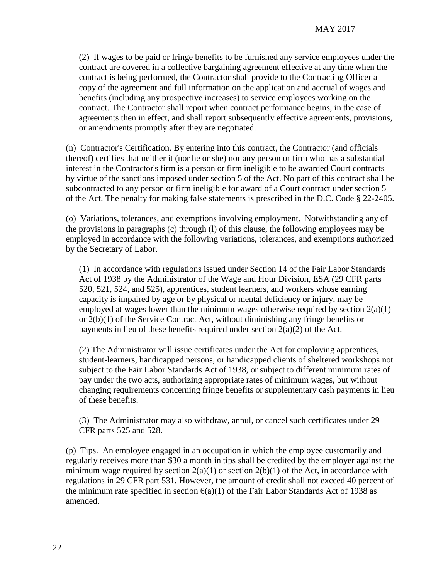(2) If wages to be paid or fringe benefits to be furnished any service employees under the contract are covered in a collective bargaining agreement effective at any time when the contract is being performed, the Contractor shall provide to the Contracting Officer a copy of the agreement and full information on the application and accrual of wages and benefits (including any prospective increases) to service employees working on the contract. The Contractor shall report when contract performance begins, in the case of agreements then in effect, and shall report subsequently effective agreements, provisions, or amendments promptly after they are negotiated.

(n) Contractor's Certification. By entering into this contract, the Contractor (and officials thereof) certifies that neither it (nor he or she) nor any person or firm who has a substantial interest in the Contractor's firm is a person or firm ineligible to be awarded Court contracts by virtue of the sanctions imposed under section 5 of the Act. No part of this contract shall be subcontracted to any person or firm ineligible for award of a Court contract under section 5 of the Act. The penalty for making false statements is prescribed in the D.C. Code § 22-2405.

(o) Variations, tolerances, and exemptions involving employment. Notwithstanding any of the provisions in paragraphs (c) through (l) of this clause, the following employees may be employed in accordance with the following variations, tolerances, and exemptions authorized by the Secretary of Labor.

(1) In accordance with regulations issued under Section 14 of the Fair Labor Standards Act of 1938 by the Administrator of the Wage and Hour Division, ESA (29 CFR parts 520, 521, 524, and 525), apprentices, student learners, and workers whose earning capacity is impaired by age or by physical or mental deficiency or injury, may be employed at wages lower than the minimum wages otherwise required by section 2(a)(1) or 2(b)(1) of the Service Contract Act, without diminishing any fringe benefits or payments in lieu of these benefits required under section  $2(a)(2)$  of the Act.

(2) The Administrator will issue certificates under the Act for employing apprentices, student-learners, handicapped persons, or handicapped clients of sheltered workshops not subject to the Fair Labor Standards Act of 1938, or subject to different minimum rates of pay under the two acts, authorizing appropriate rates of minimum wages, but without changing requirements concerning fringe benefits or supplementary cash payments in lieu of these benefits.

(3) The Administrator may also withdraw, annul, or cancel such certificates under 29 CFR parts 525 and 528.

(p) Tips. An employee engaged in an occupation in which the employee customarily and regularly receives more than \$30 a month in tips shall be credited by the employer against the minimum wage required by section  $2(a)(1)$  or section  $2(b)(1)$  of the Act, in accordance with regulations in 29 CFR part 531. However, the amount of credit shall not exceed 40 percent of the minimum rate specified in section  $6(a)(1)$  of the Fair Labor Standards Act of 1938 as amended.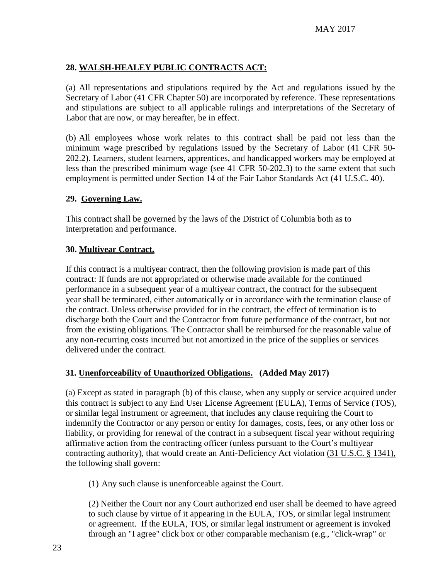# <span id="page-23-0"></span>**28. WALSH-HEALEY PUBLIC CONTRACTS ACT:**

(a) All representations and stipulations required by the Act and regulations issued by the Secretary of Labor (41 CFR Chapter 50) are incorporated by reference. These representations and stipulations are subject to all applicable rulings and interpretations of the Secretary of Labor that are now, or may hereafter, be in effect.

(b) All employees whose work relates to this contract shall be paid not less than the minimum wage prescribed by regulations issued by the Secretary of Labor (41 CFR 50- 202.2). Learners, student learners, apprentices, and handicapped workers may be employed at less than the prescribed minimum wage (see 41 CFR 50-202.3) to the same extent that such employment is permitted under Section 14 of the Fair Labor Standards Act (41 U.S.C. 40).

#### **29. Governing Law.**

This contract shall be governed by the laws of the District of Columbia both as to interpretation and performance.

#### **30. Multiyear Contract.**

If this contract is a multiyear contract, then the following provision is made part of this contract: If funds are not appropriated or otherwise made available for the continued performance in a subsequent year of a multiyear contract, the contract for the subsequent year shall be terminated, either automatically or in accordance with the termination clause of the contract. Unless otherwise provided for in the contract, the effect of termination is to discharge both the Court and the Contractor from future performance of the contract, but not from the existing obligations. The Contractor shall be reimbursed for the reasonable value of any non-recurring costs incurred but not amortized in the price of the supplies or services delivered under the contract.

#### **31. Unenforceability of Unauthorized Obligations. (Added May 2017)**

(a) Except as stated in paragraph (b) of this clause, when any supply or service acquired under this contract is subject to any End User License Agreement (EULA), Terms of Service (TOS), or similar legal instrument or agreement, that includes any clause requiring the Court to indemnify the Contractor or any person or entity for damages, costs, fees, or any other loss or liability, or providing for renewal of the contract in a subsequent fiscal year without requiring affirmative action from the contracting officer (unless pursuant to the Court's multiyear contracting authority), that would create an Anti-Deficiency Act violation [\(31 U.S.C. § 1341\),](http://www.lexis.com/research/buttonTFLink?_m=862d00c72f0148ed983ecd4758b341b9&_xfercite=%3ccite%20cc%3d%22USA%22%3e%3c%21%5bCDATA%5b48%20CFR%2052.232-39%5d%5d%3e%3c%2fcite%3e&_butType=4&_butStat=0&_butNum=2&_butInline=1&_butinfo=31%20USC%201341&_fmtstr=FULL&docnum=14&_startdoc=1&wchp=dGLbVzB-zSkAz&_md5=ab8dfb0d6ef4379cbe682d917eadb5ad) the following shall govern:

(1) Any such clause is unenforceable against the Court.

(2) Neither the Court nor any Court authorized end user shall be deemed to have agreed to such clause by virtue of it appearing in the EULA, TOS, or similar legal instrument or agreement. If the EULA, TOS, or similar legal instrument or agreement is invoked through an "I agree" click box or other comparable mechanism (e.g., "click-wrap" or